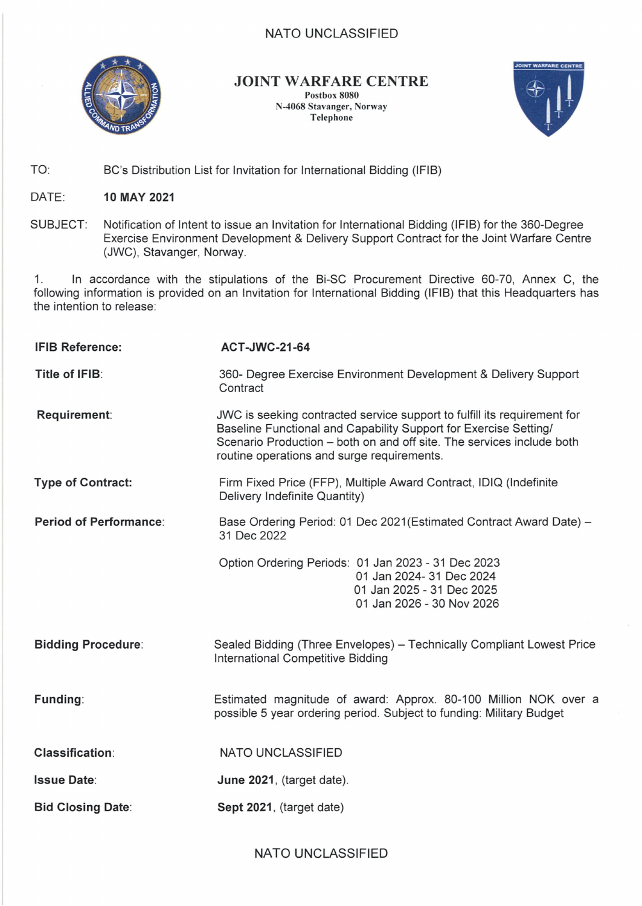## NATO UNCLASSIFIED



**JOINT WARFARE CENTRE Postbox 8080 N-4068 Stavanger, Norway Telephone**



TO: BC's Distribution List for Invitation for International Bidding (IFIB)

DATE: **10 MAY 2021**

SUBJECT: Notification of Intent to issue an Invitation for International Bidding (IFIB) for the 360-Degree Exercise Environment Development & Delivery Support Contract for the Joint Warfare Centre (JWC), Stavanger, Norway.

1. In accordance with the stipulations of the Bi-SC Procurement Directive 60-70, Annex C, the following information is provided on an Invitation for International Bidding (IFIB) that this Headquarters has the intention to release:

| <b>IFIB Reference:</b>        | <b>ACT-JWC-21-64</b>                                                                                                                                                                                                                                                |
|-------------------------------|---------------------------------------------------------------------------------------------------------------------------------------------------------------------------------------------------------------------------------------------------------------------|
| Title of IFIB:                | 360- Degree Exercise Environment Development & Delivery Support<br>Contract                                                                                                                                                                                         |
| Requirement:                  | JWC is seeking contracted service support to fulfill its requirement for<br>Baseline Functional and Capability Support for Exercise Setting/<br>Scenario Production - both on and off site. The services include both<br>routine operations and surge requirements. |
| <b>Type of Contract:</b>      | Firm Fixed Price (FFP), Multiple Award Contract, IDIQ (Indefinite<br>Delivery Indefinite Quantity)                                                                                                                                                                  |
| <b>Period of Performance:</b> | Base Ordering Period: 01 Dec 2021 (Estimated Contract Award Date) -<br>31 Dec 2022                                                                                                                                                                                  |
|                               | Option Ordering Periods: 01 Jan 2023 - 31 Dec 2023<br>01 Jan 2024- 31 Dec 2024<br>01 Jan 2025 - 31 Dec 2025<br>01 Jan 2026 - 30 Nov 2026                                                                                                                            |
| <b>Bidding Procedure:</b>     | Sealed Bidding (Three Envelopes) - Technically Compliant Lowest Price<br>International Competitive Bidding                                                                                                                                                          |
| Funding:                      | Estimated magnitude of award: Approx. 80-100 Million NOK over a<br>possible 5 year ordering period. Subject to funding: Military Budget                                                                                                                             |
| <b>Classification:</b>        | NATO UNCLASSIFIED                                                                                                                                                                                                                                                   |
| <b>Issue Date:</b>            | June 2021, (target date).                                                                                                                                                                                                                                           |
| <b>Bid Closing Date:</b>      | Sept 2021, (target date)                                                                                                                                                                                                                                            |

NATO UNCLASSIFIED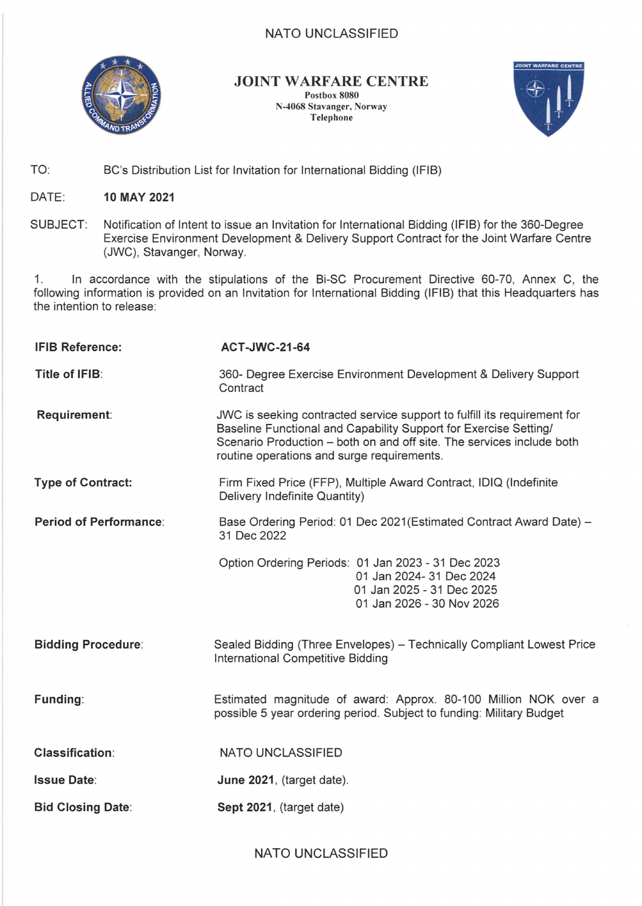## NATO UNCLASSIFIED

| Eligibility:          | Governmental or Commercial entities (1) that originate and are<br>chartered/incorporated within NATO-member nations, (2) that maintain a<br>professionally active facility (office, factory, laboratory, etc.) within NATO-<br>member nations and (3) that provide the funding for the aforementioned<br>requirement. Companies which have performed similar contracts within<br>the last three years substantially similar in scope to the requirement<br>described in the solicitation. Contractor personnel performing services<br>under the contract must be citizens of a NATO nation and have<br>appropriate professional training and experience in a related field(s). |
|-----------------------|--------------------------------------------------------------------------------------------------------------------------------------------------------------------------------------------------------------------------------------------------------------------------------------------------------------------------------------------------------------------------------------------------------------------------------------------------------------------------------------------------------------------------------------------------------------------------------------------------------------------------------------------------------------------------------|
| Delivery location(s): | Stavanger, Norway                                                                                                                                                                                                                                                                                                                                                                                                                                                                                                                                                                                                                                                              |
| Partial bidding:      | Partial Bidding is authorised.                                                                                                                                                                                                                                                                                                                                                                                                                                                                                                                                                                                                                                                 |
| Website:              | www.jwc.nato.int                                                                                                                                                                                                                                                                                                                                                                                                                                                                                                                                                                                                                                                               |

2. Joint Warfare Centre will directly e-mail this IFIB to all potential bidders and will post the tender documents on the Web site above. You are hereby invited to continue to nominate any additional companies by email and before **<sup>11</sup> June 2019,** the name, full address, Point of Contact, telephone, and email address, of other potential bidders established within your country. This and any other correspondence hereto is to be addressed to:

> JOINT WARFARE CENTRE BUDFIN - Purchasing and Contracting Office Attn: MSgt Julie Hansen - Contracting Officer PO BOX 8080, 4068 Stavanger, Norway Tel: +47 52 87 92 94 NATO UNCLASSIFIED julie.hansen@jwc.nato.int or pcs@jwc.nato.int

Kjetil Sand NATO Civ, A3 Chief Purchasing & Contracting Joint Warfare Centre